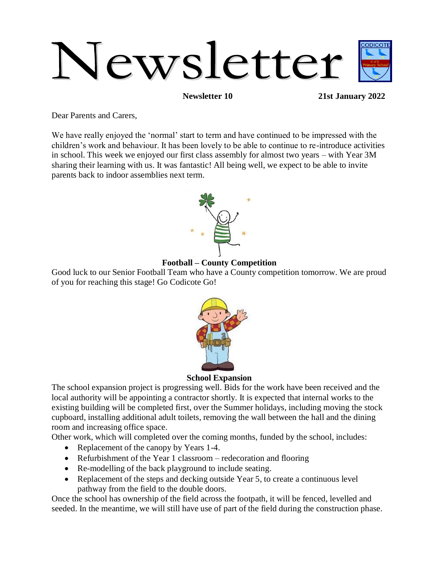

**Newsletter 10 21st January 2022**

Dear Parents and Carers,

We have really enjoyed the 'normal' start to term and have continued to be impressed with the children's work and behaviour. It has been lovely to be able to continue to re-introduce activities in school. This week we enjoyed our first class assembly for almost two years – with Year 3M sharing their learning with us. It was fantastic! All being well, we expect to be able to invite parents back to indoor assemblies next term.



### **Football – County Competition**

Good luck to our Senior Football Team who have a County competition tomorrow. We are proud of you for reaching this stage! Go Codicote Go!



**School Expansion**

The school expansion project is progressing well. Bids for the work have been received and the local authority will be appointing a contractor shortly. It is expected that internal works to the existing building will be completed first, over the Summer holidays, including moving the stock cupboard, installing additional adult toilets, removing the wall between the hall and the dining room and increasing office space.

Other work, which will completed over the coming months, funded by the school, includes:

- Replacement of the canopy by Years 1-4.
- Refurbishment of the Year 1 classroom redecoration and flooring
- Re-modelling of the back playground to include seating.
- Replacement of the steps and decking outside Year 5, to create a continuous level pathway from the field to the double doors.

Once the school has ownership of the field across the footpath, it will be fenced, levelled and seeded. In the meantime, we will still have use of part of the field during the construction phase.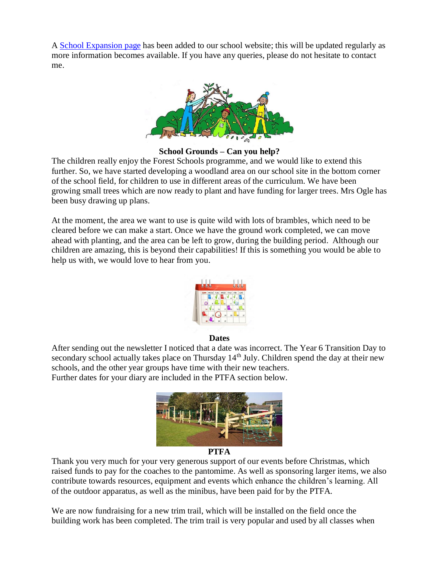A [School Expansion page](https://codicote.herts.sch.uk/our-school/school-expansion/) has been added to our school website; this will be updated regularly as more information becomes available. If you have any queries, please do not hesitate to contact me.



**School Grounds – Can you help?**

The children really enjoy the Forest Schools programme, and we would like to extend this further. So, we have started developing a woodland area on our school site in the bottom corner of the school field, for children to use in different areas of the curriculum. We have been growing small trees which are now ready to plant and have funding for larger trees. Mrs Ogle has been busy drawing up plans.

At the moment, the area we want to use is quite wild with lots of brambles, which need to be cleared before we can make a start. Once we have the ground work completed, we can move ahead with planting, and the area can be left to grow, during the building period. Although our children are amazing, this is beyond their capabilities! If this is something you would be able to help us with, we would love to hear from you.



#### **Dates**

After sending out the newsletter I noticed that a date was incorrect. The Year 6 Transition Day to secondary school actually takes place on Thursday 14<sup>th</sup> July. Children spend the day at their new schools, and the other year groups have time with their new teachers. Further dates for your diary are included in the PTFA section below.



#### **PTFA**

Thank you very much for your very generous support of our events before Christmas, which raised funds to pay for the coaches to the pantomime. As well as sponsoring larger items, we also contribute towards resources, equipment and events which enhance the children's learning. All of the outdoor apparatus, as well as the minibus, have been paid for by the PTFA.

We are now fundraising for a new trim trail, which will be installed on the field once the building work has been completed. The trim trail is very popular and used by all classes when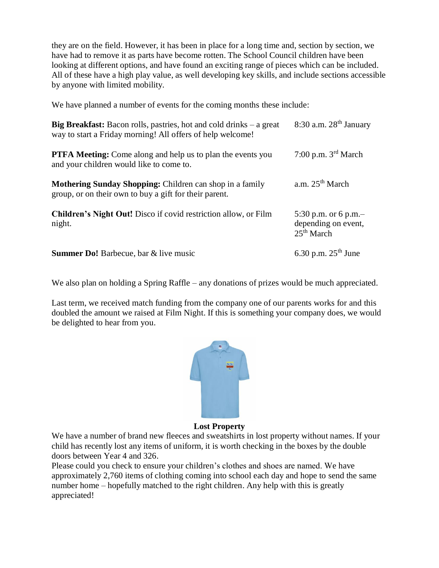they are on the field. However, it has been in place for a long time and, section by section, we have had to remove it as parts have become rotten. The School Council children have been looking at different options, and have found an exciting range of pieces which can be included. All of these have a high play value, as well developing key skills, and include sections accessible by anyone with limited mobility.

We have planned a number of events for the coming months these include:

| Big Breakfast: Bacon rolls, pastries, hot and cold drinks – a great<br>way to start a Friday morning! All offers of help welcome! | $8:30$ a.m. $28th$ January                                           |
|-----------------------------------------------------------------------------------------------------------------------------------|----------------------------------------------------------------------|
| <b>PTFA Meeting:</b> Come along and help us to plan the events you<br>and your children would like to come to.                    | 7:00 p.m. $3rd$ March                                                |
| <b>Mothering Sunday Shopping:</b> Children can shop in a family<br>group, or on their own to buy a gift for their parent.         | a.m. $25th$ March                                                    |
| <b>Children's Night Out!</b> Disco if covid restriction allow, or Film<br>night.                                                  | 5:30 p.m. or 6 p.m.<br>depending on event,<br>25 <sup>th</sup> March |
| <b>Summer Do!</b> Barbecue, bar & live music                                                                                      | 6.30 p.m. $25^{th}$ June                                             |

We also plan on holding a Spring Raffle – any donations of prizes would be much appreciated.

Last term, we received match funding from the company one of our parents works for and this doubled the amount we raised at Film Night. If this is something your company does, we would be delighted to hear from you.



**Lost Property**

We have a number of brand new fleeces and sweatshirts in lost property without names. If your child has recently lost any items of uniform, it is worth checking in the boxes by the double doors between Year 4 and 326.

Please could you check to ensure your children's clothes and shoes are named. We have approximately 2,760 items of clothing coming into school each day and hope to send the same number home – hopefully matched to the right children. Any help with this is greatly appreciated!